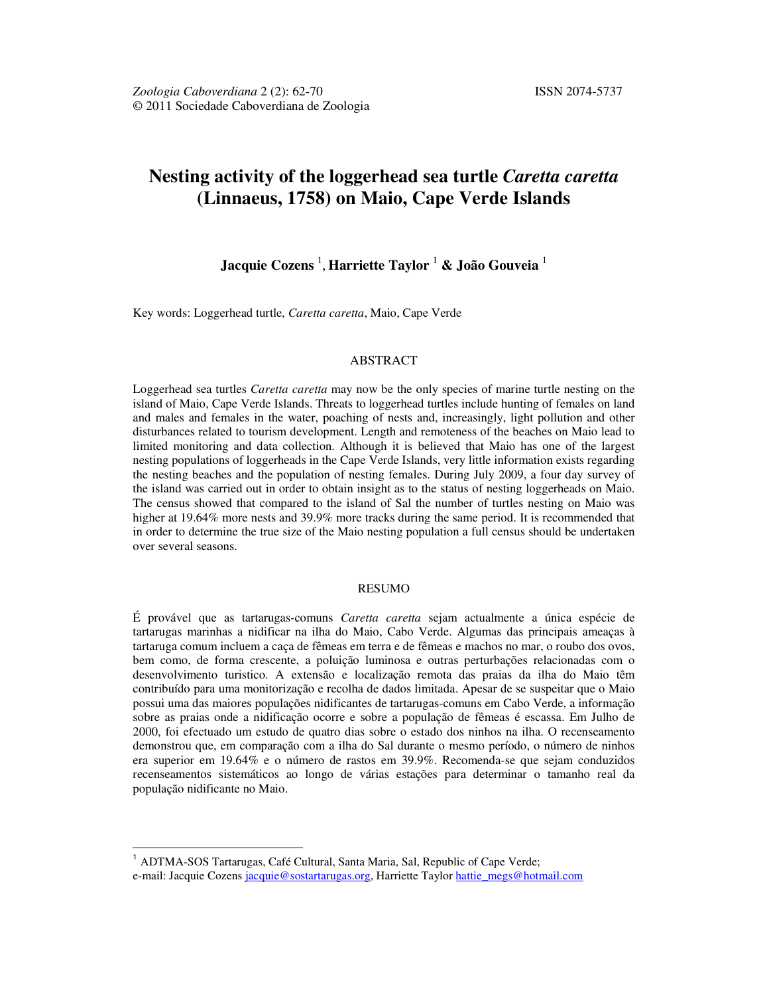# **Nesting activity of the loggerhead sea turtle** *Caretta caretta* **(Linnaeus, 1758) on Maio, Cape Verde Islands**

## **Jacquie Cozens** <sup>1</sup> , **Harriette Taylor** <sup>1</sup> **& João Gouveia** <sup>1</sup>

Key words: Loggerhead turtle, *Caretta caretta*, Maio, Cape Verde

## ABSTRACT

Loggerhead sea turtles *Caretta caretta* may now be the only species of marine turtle nesting on the island of Maio, Cape Verde Islands. Threats to loggerhead turtles include hunting of females on land and males and females in the water, poaching of nests and, increasingly, light pollution and other disturbances related to tourism development. Length and remoteness of the beaches on Maio lead to limited monitoring and data collection. Although it is believed that Maio has one of the largest nesting populations of loggerheads in the Cape Verde Islands, very little information exists regarding the nesting beaches and the population of nesting females. During July 2009, a four day survey of the island was carried out in order to obtain insight as to the status of nesting loggerheads on Maio. The census showed that compared to the island of Sal the number of turtles nesting on Maio was higher at 19.64% more nests and 39.9% more tracks during the same period. It is recommended that in order to determine the true size of the Maio nesting population a full census should be undertaken over several seasons.

#### RESUMO

É provável que as tartarugas-comuns *Caretta caretta* sejam actualmente a única espécie de tartarugas marinhas a nidificar na ilha do Maio, Cabo Verde. Algumas das principais ameaças à tartaruga comum incluem a caça de fêmeas em terra e de fêmeas e machos no mar, o roubo dos ovos, bem como, de forma crescente, a poluição luminosa e outras perturbações relacionadas com o desenvolvimento turistico. A extensão e localização remota das praias da ilha do Maio têm contribuído para uma monitorização e recolha de dados limitada. Apesar de se suspeitar que o Maio possui uma das maiores populações nidificantes de tartarugas-comuns em Cabo Verde, a informação sobre as praias onde a nidificação ocorre e sobre a população de fêmeas é escassa. Em Julho de 2000, foi efectuado um estudo de quatro dias sobre o estado dos ninhos na ilha. O recenseamento demonstrou que, em comparação com a ilha do Sal durante o mesmo período, o número de ninhos era superior em 19.64% e o número de rastos em 39.9%. Recomenda-se que sejam conduzidos recenseamentos sistemáticos ao longo de várias estações para determinar o tamanho real da população nidificante no Maio.

 $\overline{a}$ 

<sup>&</sup>lt;sup>1</sup> ADTMA-SOS Tartarugas, Café Cultural, Santa Maria, Sal, Republic of Cape Verde; e-mail: Jacquie Cozens jacquie@sostartarugas.org, Harriette Taylor hattie\_megs@hotmail.com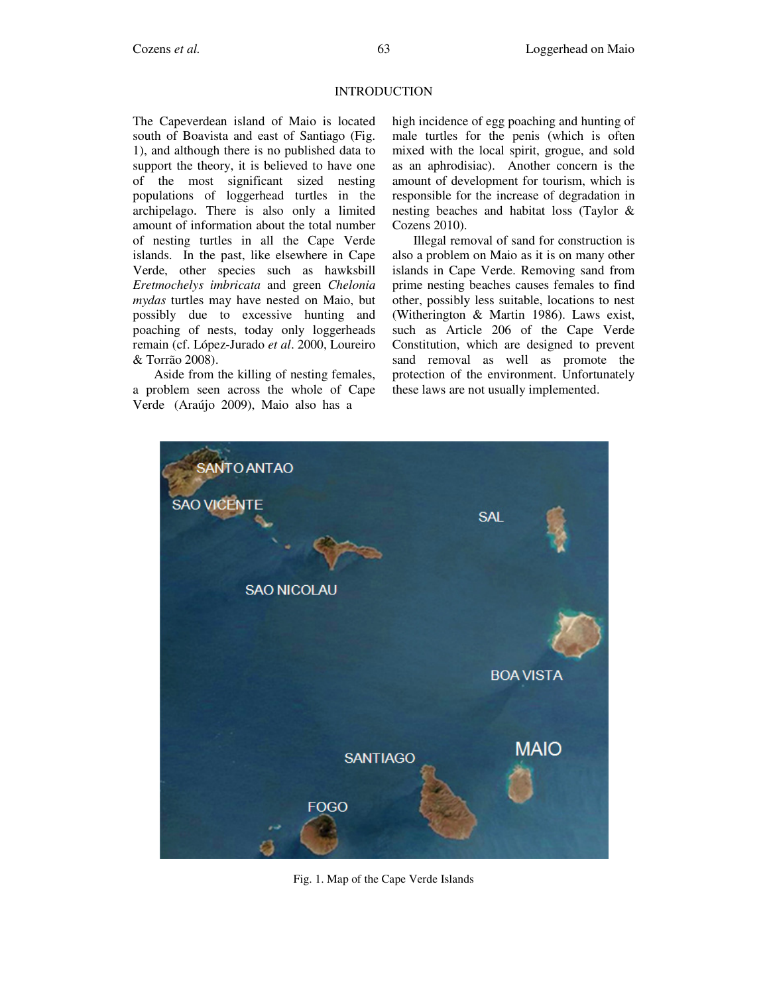## **INTRODUCTION**

The Capeverdean island of Maio is located south of Boavista and east of Santiago (Fig. 1), and although there is no published data to support the theory, it is believed to have one of the most significant sized nesting populations of loggerhead turtles in the archipelago. There is also only a limited amount of information about the total number of nesting turtles in all the Cape Verde islands. In the past, like elsewhere in Cape Verde, other species such as hawksbill *Eretmochelys imbricata* and green *Chelonia mydas* turtles may have nested on Maio, but possibly due to excessive hunting and poaching of nests, today only loggerheads remain (cf. López-Jurado *et al*. 2000, Loureiro & Torrão 2008).

Aside from the killing of nesting females, a problem seen across the whole of Cape Verde (Araújo 2009), Maio also has a

high incidence of egg poaching and hunting of male turtles for the penis (which is often mixed with the local spirit, grogue, and sold as an aphrodisiac). Another concern is the amount of development for tourism, which is responsible for the increase of degradation in nesting beaches and habitat loss (Taylor & Cozens 2010).

Illegal removal of sand for construction is also a problem on Maio as it is on many other islands in Cape Verde. Removing sand from prime nesting beaches causes females to find other, possibly less suitable, locations to nest (Witherington & Martin 1986). Laws exist, such as Article 206 of the Cape Verde Constitution, which are designed to prevent sand removal as well as promote the protection of the environment. Unfortunately these laws are not usually implemented.



Fig. 1. Map of the Cape Verde Islands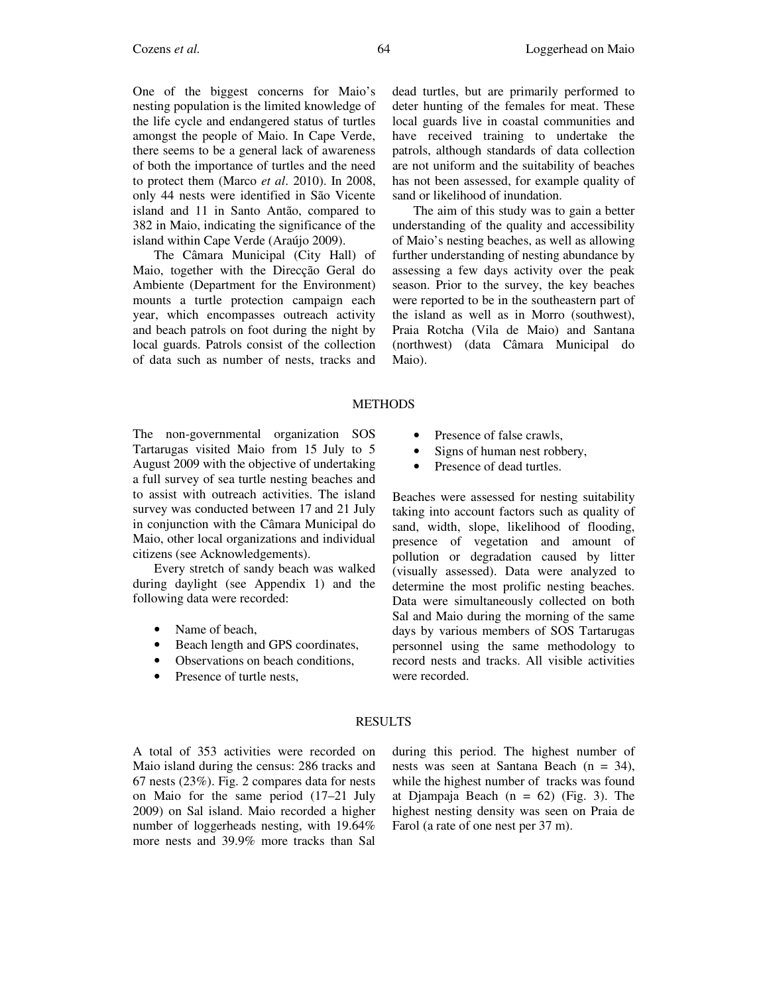One of the biggest concerns for Maio's nesting population is the limited knowledge of the life cycle and endangered status of turtles amongst the people of Maio. In Cape Verde, there seems to be a general lack of awareness of both the importance of turtles and the need to protect them (Marco *et al*. 2010). In 2008, only 44 nests were identified in São Vicente island and 11 in Santo Antão, compared to 382 in Maio, indicating the significance of the island within Cape Verde (Araújo 2009).

The Câmara Municipal (City Hall) of Maio, together with the Direcção Geral do Ambiente (Department for the Environment) mounts a turtle protection campaign each year, which encompasses outreach activity and beach patrols on foot during the night by local guards. Patrols consist of the collection of data such as number of nests, tracks and local guards live in coastal communities and have received training to undertake the patrols, although standards of data collection are not uniform and the suitability of beaches has not been assessed, for example quality of sand or likelihood of inundation.

The aim of this study was to gain a better understanding of the quality and accessibility of Maio's nesting beaches, as well as allowing further understanding of nesting abundance by assessing a few days activity over the peak season. Prior to the survey, the key beaches were reported to be in the southeastern part of the island as well as in Morro (southwest), Praia Rotcha (Vila de Maio) and Santana (northwest) (data Câmara Municipal do Maio).

#### METHODS

The non-governmental organization SOS Tartarugas visited Maio from 15 July to 5 August 2009 with the objective of undertaking a full survey of sea turtle nesting beaches and to assist with outreach activities. The island survey was conducted between 17 and 21 July in conjunction with the Câmara Municipal do Maio, other local organizations and individual citizens (see Acknowledgements).

Every stretch of sandy beach was walked during daylight (see Appendix 1) and the following data were recorded:

- Name of beach,
- Beach length and GPS coordinates,
- Observations on beach conditions,
- Presence of turtle nests,
- Presence of false crawls,
- Signs of human nest robbery,
- Presence of dead turtles.

Beaches were assessed for nesting suitability taking into account factors such as quality of sand, width, slope, likelihood of flooding, presence of vegetation and amount of pollution or degradation caused by litter (visually assessed). Data were analyzed to determine the most prolific nesting beaches. Data were simultaneously collected on both Sal and Maio during the morning of the same days by various members of SOS Tartarugas personnel using the same methodology to record nests and tracks. All visible activities were recorded.

#### RESULTS

A total of 353 activities were recorded on Maio island during the census: 286 tracks and 67 nests (23%). Fig. 2 compares data for nests on Maio for the same period (17–21 July 2009) on Sal island. Maio recorded a higher number of loggerheads nesting, with 19.64% more nests and 39.9% more tracks than Sal during this period. The highest number of nests was seen at Santana Beach (n = 34), while the highest number of tracks was found at Djampaja Beach  $(n = 62)$  (Fig. 3). The highest nesting density was seen on Praia de Farol (a rate of one nest per 37 m).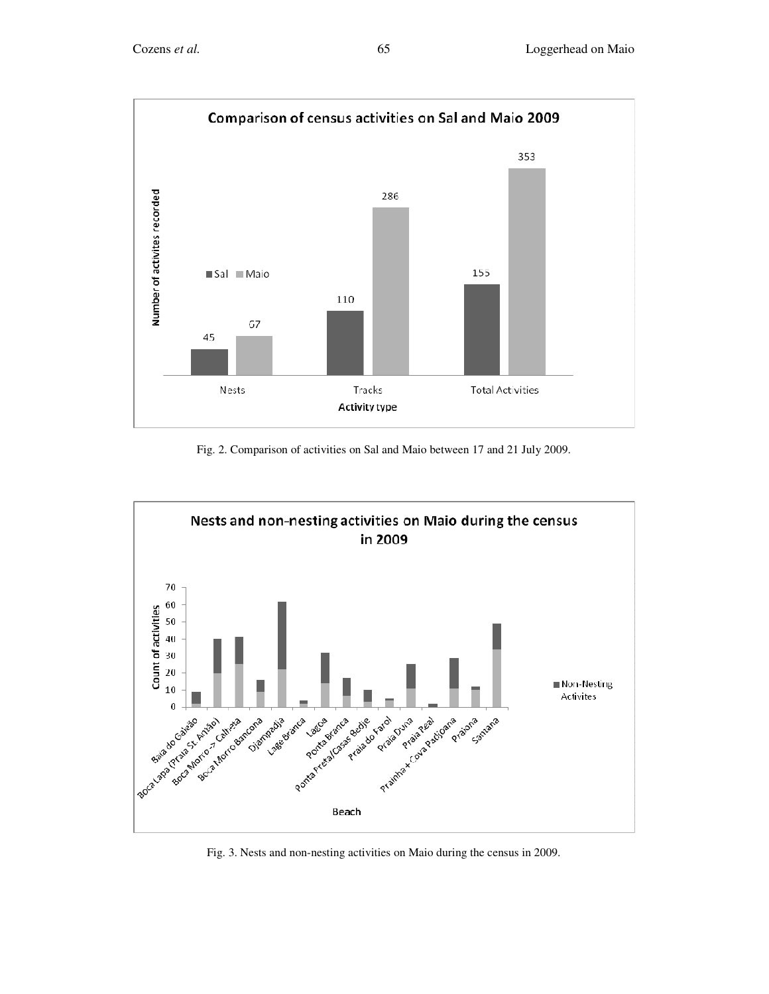

Fig. 2. Comparison of activities on Sal and Maio between 17 and 21 July 2009.



Fig. 3. Nests and non-nesting activities on Maio during the census in 2009.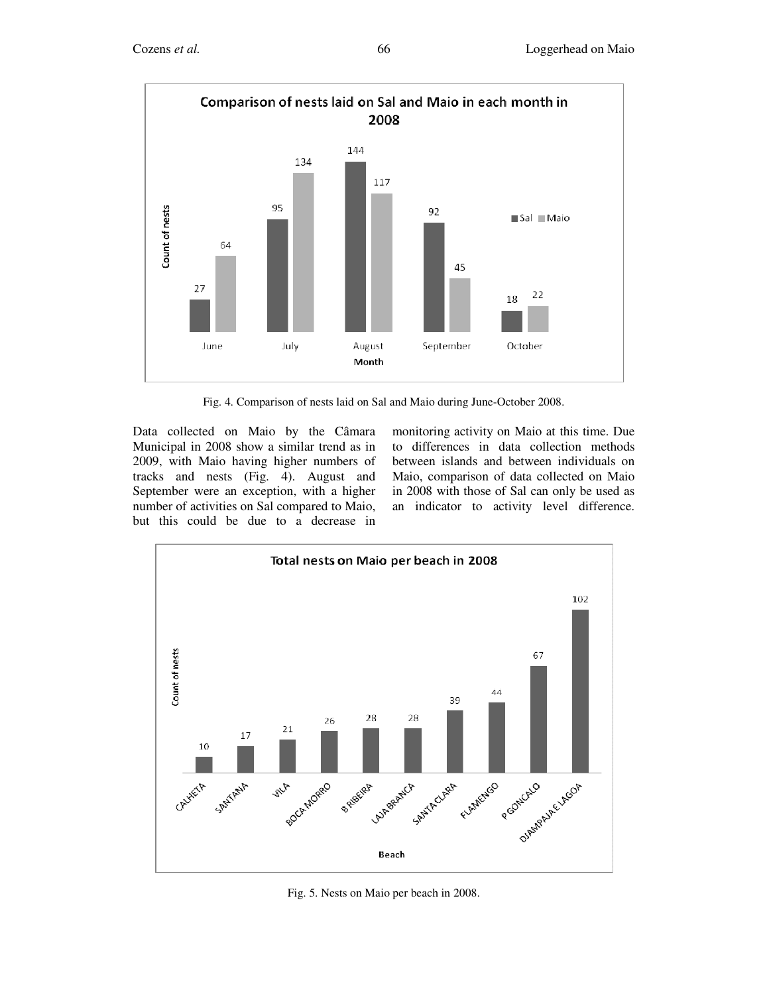

Fig. 4. Comparison of nests laid on Sal and Maio during June-October 2008.

Data collected on Maio by the Câmara Municipal in 2008 show a similar trend as in 2009, with Maio having higher numbers of tracks and nests (Fig. 4). August and September were an exception, with a higher number of activities on Sal compared to Maio, but this could be due to a decrease in

monitoring activity on Maio at this time. Due to differences in data collection methods between islands and between individuals on Maio, comparison of data collected on Maio in 2008 with those of Sal can only be used as an indicator to activity level difference.



Fig. 5. Nests on Maio per beach in 2008.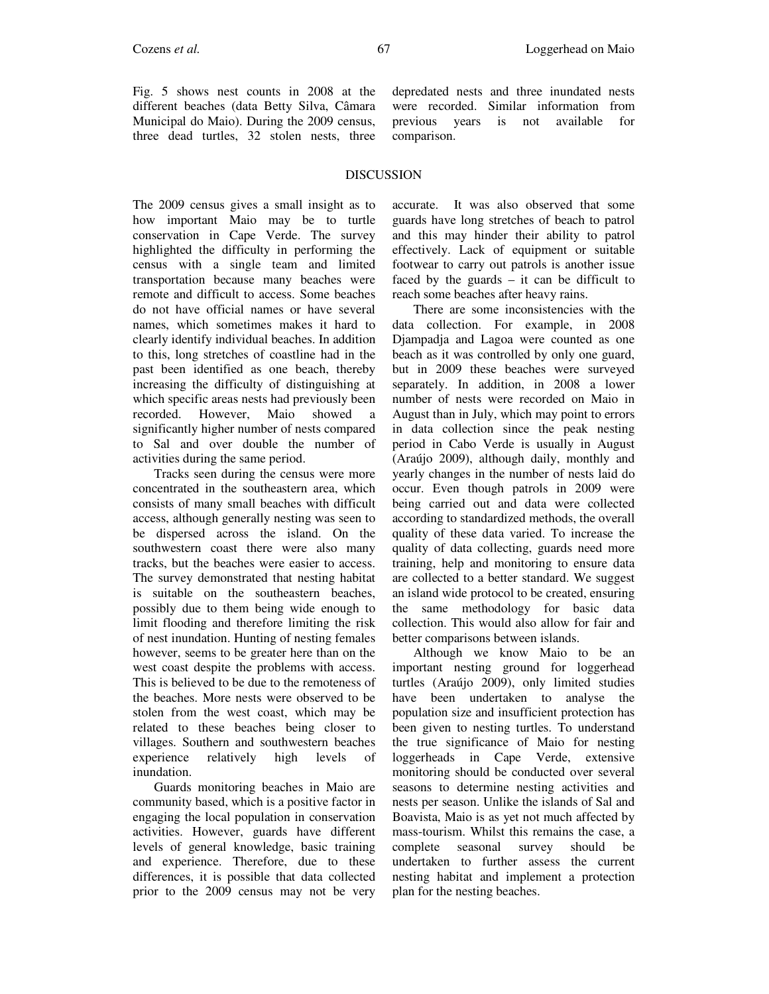Fig. 5 shows nest counts in 2008 at the different beaches (data Betty Silva, Câmara Municipal do Maio). During the 2009 census, three dead turtles, 32 stolen nests, three depredated nests and three inundated nests were recorded. Similar information from previous years is not available for comparison.

### DISCUSSION

The 2009 census gives a small insight as to how important Maio may be to turtle conservation in Cape Verde. The survey highlighted the difficulty in performing the census with a single team and limited transportation because many beaches were remote and difficult to access. Some beaches do not have official names or have several names, which sometimes makes it hard to clearly identify individual beaches. In addition to this, long stretches of coastline had in the past been identified as one beach, thereby increasing the difficulty of distinguishing at which specific areas nests had previously been recorded. However, Maio showed significantly higher number of nests compared to Sal and over double the number of activities during the same period.

Tracks seen during the census were more concentrated in the southeastern area, which consists of many small beaches with difficult access, although generally nesting was seen to be dispersed across the island. On the southwestern coast there were also many tracks, but the beaches were easier to access. The survey demonstrated that nesting habitat is suitable on the southeastern beaches, possibly due to them being wide enough to limit flooding and therefore limiting the risk of nest inundation. Hunting of nesting females however, seems to be greater here than on the west coast despite the problems with access. This is believed to be due to the remoteness of the beaches. More nests were observed to be stolen from the west coast, which may be related to these beaches being closer to villages. Southern and southwestern beaches experience relatively high levels of inundation.

Guards monitoring beaches in Maio are community based, which is a positive factor in engaging the local population in conservation activities. However, guards have different levels of general knowledge, basic training and experience. Therefore, due to these differences, it is possible that data collected prior to the 2009 census may not be very accurate. It was also observed that some guards have long stretches of beach to patrol and this may hinder their ability to patrol effectively. Lack of equipment or suitable footwear to carry out patrols is another issue faced by the guards  $-$  it can be difficult to reach some beaches after heavy rains.

There are some inconsistencies with the data collection. For example, in 2008 Djampadja and Lagoa were counted as one beach as it was controlled by only one guard, but in 2009 these beaches were surveyed separately. In addition, in 2008 a lower number of nests were recorded on Maio in August than in July, which may point to errors in data collection since the peak nesting period in Cabo Verde is usually in August (Araújo 2009), although daily, monthly and yearly changes in the number of nests laid do occur. Even though patrols in 2009 were being carried out and data were collected according to standardized methods, the overall quality of these data varied. To increase the quality of data collecting, guards need more training, help and monitoring to ensure data are collected to a better standard. We suggest an island wide protocol to be created, ensuring the same methodology for basic data collection. This would also allow for fair and better comparisons between islands.

Although we know Maio to be an important nesting ground for loggerhead turtles (Araújo 2009), only limited studies have been undertaken to analyse the population size and insufficient protection has been given to nesting turtles. To understand the true significance of Maio for nesting loggerheads in Cape Verde, extensive monitoring should be conducted over several seasons to determine nesting activities and nests per season. Unlike the islands of Sal and Boavista, Maio is as yet not much affected by mass-tourism. Whilst this remains the case, a complete seasonal survey should be undertaken to further assess the current nesting habitat and implement a protection plan for the nesting beaches.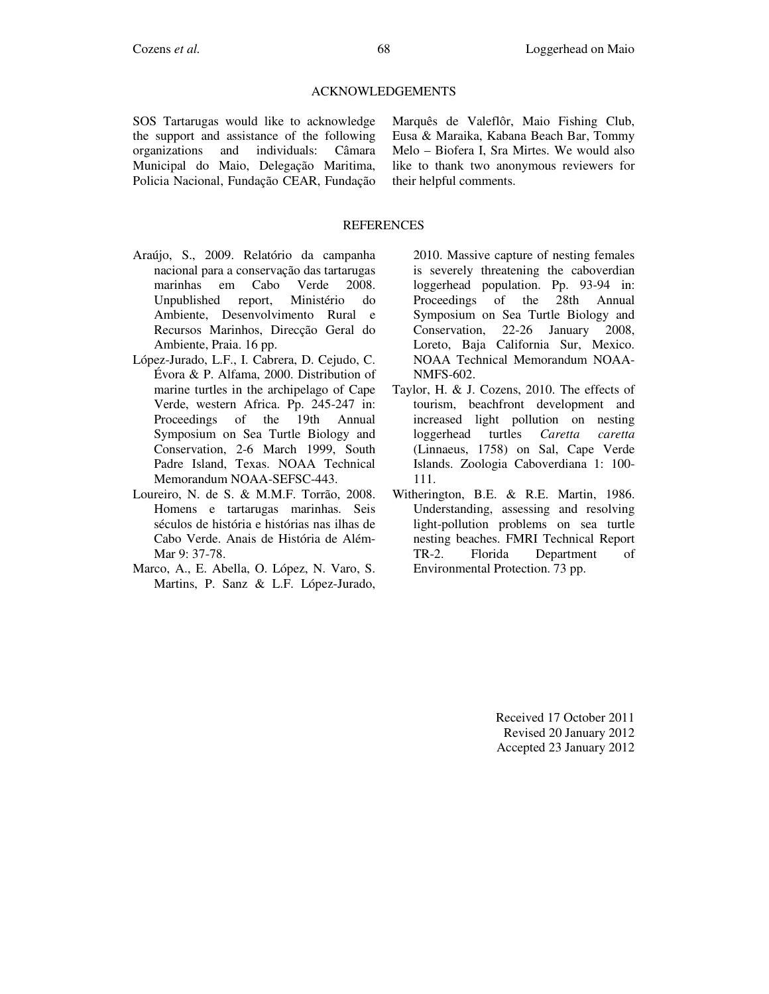## ACKNOWLEDGEMENTS

SOS Tartarugas would like to acknowledge the support and assistance of the following organizations and individuals: Câmara Municipal do Maio, Delegação Maritima, Policia Nacional, Fundação CEAR, Fundação

Marquês de Valeflôr, Maio Fishing Club, Eusa & Maraika, Kabana Beach Bar, Tommy Melo – Biofera I, Sra Mirtes. We would also like to thank two anonymous reviewers for their helpful comments.

#### **REFERENCES**

- Araújo, S., 2009. Relatório da campanha nacional para a conservação das tartarugas marinhas em Cabo Verde 2008. Unpublished report, Ministério do Ambiente, Desenvolvimento Rural e Recursos Marinhos, Direcção Geral do Ambiente, Praia. 16 pp.
- López-Jurado, L.F., I. Cabrera, D. Cejudo, C. Évora & P. Alfama, 2000. Distribution of marine turtles in the archipelago of Cape Verde, western Africa. Pp. 245-247 in: Proceedings of the 19th Annual Symposium on Sea Turtle Biology and Conservation, 2-6 March 1999, South Padre Island, Texas. NOAA Technical Memorandum NOAA-SEFSC-443.
- Loureiro, N. de S. & M.M.F. Torrão, 2008. Homens e tartarugas marinhas. Seis séculos de história e histórias nas ilhas de Cabo Verde. Anais de História de Além-Mar 9: 37-78.
- Marco, A., E. Abella, O. López, N. Varo, S. Martins, P. Sanz & L.F. López-Jurado,

2010. Massive capture of nesting females is severely threatening the caboverdian loggerhead population. Pp. 93-94 in: Proceedings of the 28th Annual Symposium on Sea Turtle Biology and Conservation, 22-26 January 2008, Loreto, Baja California Sur, Mexico. NOAA Technical Memorandum NOAA-NMFS-602.

- Taylor, H. & J. Cozens, 2010. The effects of tourism, beachfront development and increased light pollution on nesting loggerhead turtles *Caretta caretta* (Linnaeus, 1758) on Sal, Cape Verde Islands. Zoologia Caboverdiana 1: 100- 111.
- Witherington, B.E. & R.E. Martin, 1986. Understanding, assessing and resolving light-pollution problems on sea turtle nesting beaches. FMRI Technical Report TR-2. Florida Department of Environmental Protection. 73 pp.

Received 17 October 2011 Revised 20 January 2012 Accepted 23 January 2012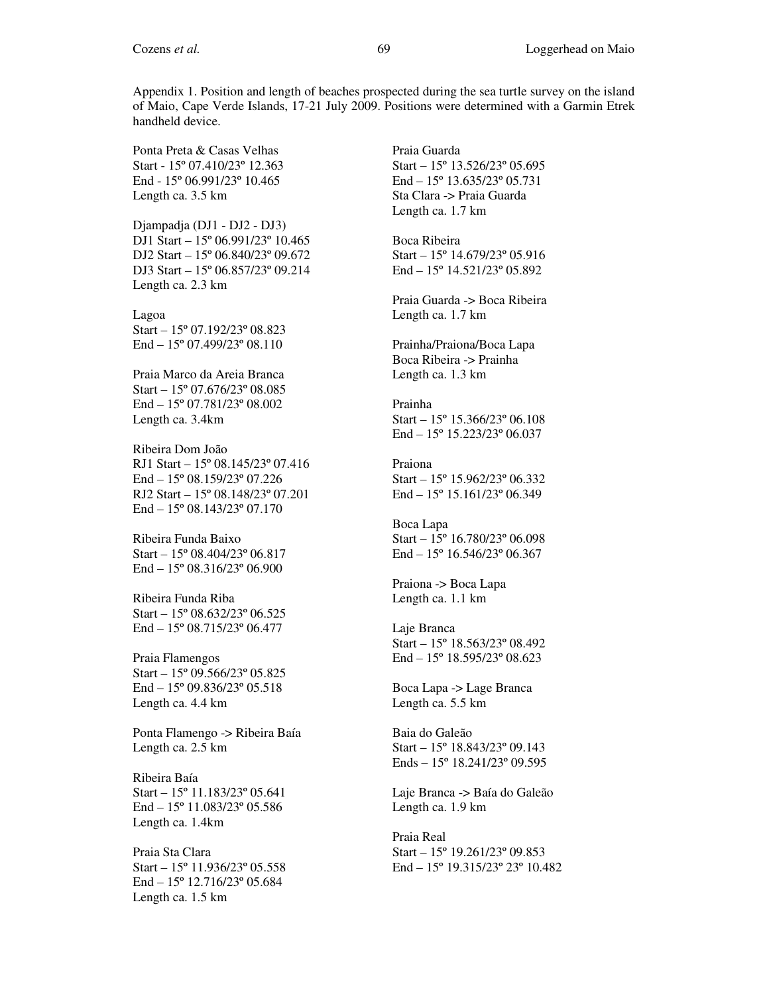Appendix 1. Position and length of beaches prospected during the sea turtle survey on the island of Maio, Cape Verde Islands, 17-21 July 2009. Positions were determined with a Garmin Etrek handheld device.

Ponta Preta & Casas Velhas Start - 15º 07.410/23º 12.363 End - 15º 06.991/23º 10.465 Length ca. 3.5 km

Djampadja (DJ1 - DJ2 - DJ3) DJ1 Start – 15º 06.991/23º 10.465 DJ2 Start – 15º 06.840/23º 09.672 DJ3 Start – 15º 06.857/23º 09.214 Length ca. 2.3 km

Lagoa Start – 15º 07.192/23º 08.823 End – 15º 07.499/23º 08.110

Praia Marco da Areia Branca Start – 15º 07.676/23º 08.085 End – 15º 07.781/23º 08.002 Length ca. 3.4km

Ribeira Dom João RJ1 Start – 15º 08.145/23º 07.416 End – 15º 08.159/23º 07.226 RJ2 Start – 15º 08.148/23º 07.201 End – 15º 08.143/23º 07.170

Ribeira Funda Baixo Start – 15º 08.404/23º 06.817 End – 15º 08.316/23º 06.900

Ribeira Funda Riba Start – 15º 08.632/23º 06.525 End – 15º 08.715/23º 06.477

Praia Flamengos Start – 15º 09.566/23º 05.825 End – 15º 09.836/23º 05.518 Length ca. 4.4 km

Ponta Flamengo -> Ribeira Baía Length ca. 2.5 km

Ribeira Baía Start – 15º 11.183/23º 05.641 End – 15º 11.083/23º 05.586 Length ca. 1.4km

Praia Sta Clara Start – 15º 11.936/23º 05.558 End – 15º 12.716/23º 05.684 Length ca. 1.5 km

Praia Guarda Start – 15º 13.526/23º 05.695 End – 15º 13.635/23º 05.731 Sta Clara -> Praia Guarda Length ca. 1.7 km

Boca Ribeira Start – 15º 14.679/23º 05.916 End – 15º 14.521/23º 05.892

Praia Guarda -> Boca Ribeira Length ca. 1.7 km

Prainha/Praiona/Boca Lapa Boca Ribeira -> Prainha Length ca. 1.3 km

Prainha Start – 15º 15.366/23º 06.108 End – 15º 15.223/23º 06.037

Praiona Start – 15º 15.962/23º 06.332 End – 15º 15.161/23º 06.349

Boca Lapa Start – 15º 16.780/23º 06.098 End – 15º 16.546/23º 06.367

Praiona -> Boca Lapa Length ca. 1.1 km

Laje Branca Start – 15º 18.563/23º 08.492 End – 15º 18.595/23º 08.623

Boca Lapa -> Lage Branca Length ca. 5.5 km

Baia do Galeão Start – 15º 18.843/23º 09.143 Ends – 15º 18.241/23º 09.595

Laje Branca -> Baía do Galeão Length ca. 1.9 km

Praia Real Start – 15º 19.261/23º 09.853 End – 15º 19.315/23º 23º 10.482